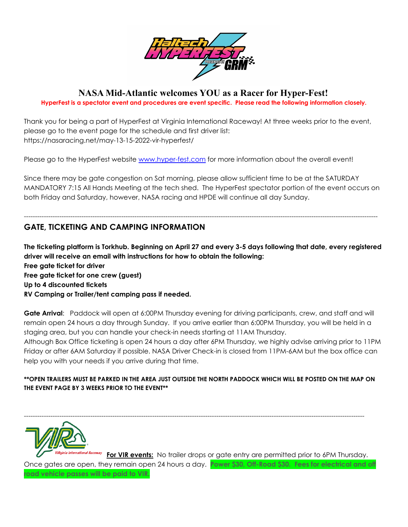

## **NASA Mid-Atlantic welcomes YOU as a Racer for Hyper-Fest!**

**HyperFest is a spectator event and procedures are event specific. Please read the following information closely.**

Thank you for being a part of HyperFest at Virginia International Raceway! At three weeks prior to the event, please go to the event page for the schedule and first driver list: https://nasaracing.net/may-13-15-2022-vir-hyperfest/

Please go to the HyperFest website [www.hyper-fest.com](http://www.hyper-fest.com) for more information about the overall event!

Since there may be gate congestion on Sat morning, please allow sufficient time to be at the SATURDAY MANDATORY 7:15 All Hands Meeting at the tech shed. The HyperFest spectator portion of the event occurs on both Friday and Saturday, however, NASA racing and HPDE will continue all day Sunday.

----------------------------------------------------------------------------------------------------------------------------------------------------------------

# **GATE, TICKETING AND CAMPING INFORMATION**

The ticketing platform is Torkhub. Beginning on April 27 and every 3-5 days following that date, every registered **driver will receive an email with instructions for how to obtain the following: Free gate ticket for driver Free gate ticket for one crew (guest) Up to 4 discounted tickets RV Camping or Trailer/tent camping pass if needed.**

**Gate Arrival**: Paddock will open at 6:00PM Thursday evening for driving participants, crew, and staff and will remain open 24 hours a day through Sunday. If you arrive earlier than 6:00PM Thursday, you will be held in a staging area, but you can handle your check-in needs starting at 11AM Thursday.

Although Box Office ticketing is open 24 hours a day after 6PM Thursday, we highly advise arriving prior to 11PM Friday or after 6AM Saturday if possible. NASA Driver Check-in is closed from 11PM-6AM but the box office can help you with your needs if you arrive during that time.

#### **\*\*OPEN TRAILERS MUST BE PARKED IN THE AREA JUST OUTSIDE THE NORTH PADDOCK WHICH WILL BE POSTED ON THE MAP ON THE EVENT PAGE BY 3 WEEKS PRIOR TO THE EVENT\*\***

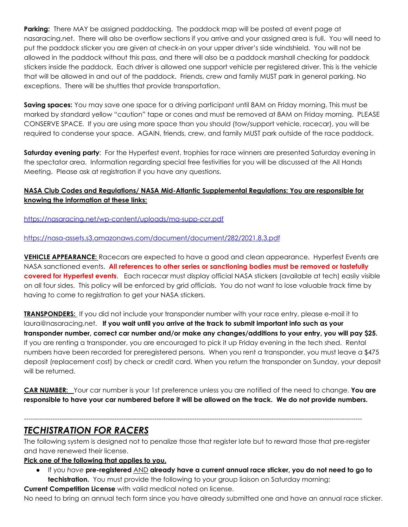**Parking:** There MAY be assigned paddocking. The paddock map will be posted at event page at nasaracing.net. There will also be overflow sections if you arrive and your assigned area is full. You will need to put the paddock sticker you are given at check-in on your upper driver's side windshield. You will not be allowed in the paddock without this pass, and there will also be a paddock marshall checking for paddock stickers inside the paddock. Each driver is allowed one support vehicle per registered driver. This is the vehicle that will be allowed in and out of the paddock. Friends, crew and family MUST park in general parking. No exceptions. There will be shuttles that provide transportation.

**Saving spaces:** You may save one space for a driving participant until 8AM on Friday morning. This must be marked by standard yellow "caution" tape or cones and must be removed at 8AM on Friday morning. PLEASE CONSERVE SPACE. If you are using more space than you should (tow/support vehicle, racecar), you will be required to condense your space. AGAIN, friends, crew, and family MUST park outside of the race paddock.

**Saturday evening party**: For the Hyperfest event, trophies for race winners are presented Saturday evening in the spectator area. Information regarding special free festivities for you will be discussed at the All Hands Meeting. Please ask at registration if you have any questions.

## **NASA Club Codes and Regulations/ NASA Mid-Atlantic Supplemental Regulations: You are responsible for knowing the information at these links:**

<https://nasaracing.net/wp-content/uploads/ma-supp-ccr.pdf>

<https://nasa-assets.s3.amazonaws.com/document/document/282/2021.8.3.pdf>

**VEHICLE APPEARANCE:** Racecars are expected to have a good and clean appearance. Hyperfest Events are NASA sanctioned events. **All references to other series or sanctioning bodies must be removed or tastefully covered for Hyperfest events**. Each racecar must display official NASA stickers (available at tech) easily visible on all four sides. This policy will be enforced by grid officials. You do not want to lose valuable track time by having to come to registration to get your NASA stickers.

**TRANSPONDERS:** If you did not include your transponder number with your race entry, please e-mail it to laura@nasaracing.net. **If you wait until you arrive at the track to submit important info such as your transponder number, correct car number and/or make any changes/additions to your entry, you will pay \$25.** If you are renting a transponder, you are encouraged to pick it up Friday evening in the tech shed. Rental numbers have been recorded for preregistered persons. When you rent a transponder, you must leave a \$475 deposit (replacement cost) by check or credit card. When you return the transponder on Sunday, your deposit will be returned.

**CAR NUMBER:** Your car number is your 1st preference unless you are notified of the need to change. **You are** responsible to have your car numbered before it will be allowed on the track. We do not provide numbers.

# *TECHISTRATION FOR RACERS*

The following system is designed not to penalize those that register late but to reward those that pre-register and have renewed their license.

---------------------------------------------------------------------------------------------------------------------------------------------------------

**Pick one of the following that applies to you.**

● If you *have* **pre-registered** AND **already have a current annual race sticker, you do not need to go to techistration.** You must provide the following to your group liaison on Saturday morning:

**Current Competition License** with valid medical noted on license.

No need to bring an annual tech form since you have already submitted one and have an annual race sticker.